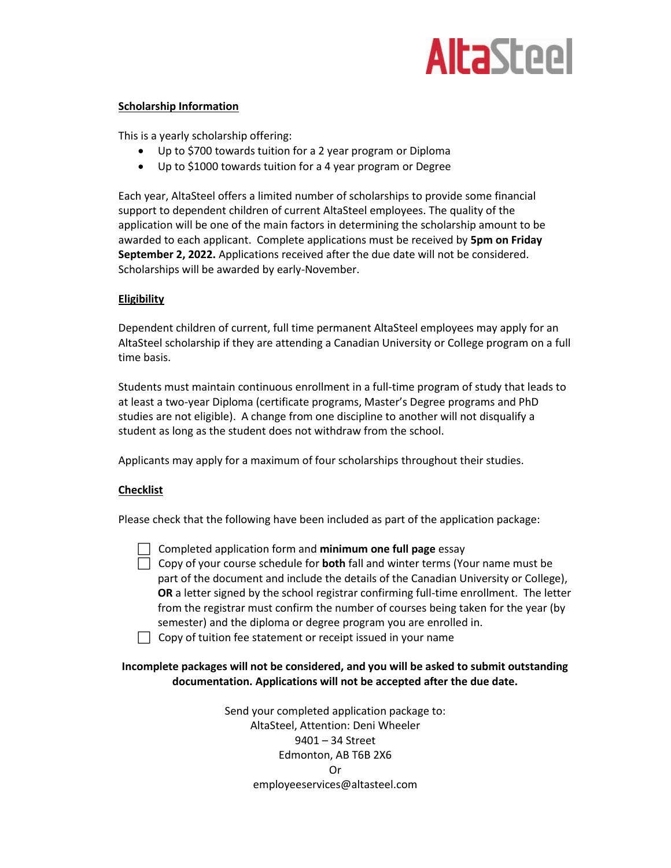

## **Scholarship Information**

This is a yearly scholarship offering:

- Up to \$700 towards tuition for a 2 year program or Diploma
- Up to \$1000 towards tuition for a 4 year program or Degree

Each year, AltaSteel offers a limited number of scholarships to provide some financial support to dependent children of current AltaSteel employees. The quality of the application will be one of the main factors in determining the scholarship amount to be awarded to each applicant. Complete applications must be received by **5pm on Friday September 2, 2022.** Applications received after the due date will not be considered. Scholarships will be awarded by early-November.

## **Eligibility**

Dependent children of current, full time permanent AltaSteel employees may apply for an AltaSteel scholarship if they are attending a Canadian University or College program on a full time basis.

Students must maintain continuous enrollment in a full-time program of study that leads to at least a two-year Diploma (certificate programs, Master's Degree programs and PhD studies are not eligible). A change from one discipline to another will not disqualify a student as long as the student does not withdraw from the school.

Applicants may apply for a maximum of four scholarships throughout their studies.

## **Checklist**

Please check that the following have been included as part of the application package:

Completed application form and **minimum one full page** essay

 Copy of your course schedule for **both** fall and winter terms (Your name must be part of the document and include the details of the Canadian University or College), **OR** a letter signed by the school registrar confirming full-time enrollment. The letter from the registrar must confirm the number of courses being taken for the year (by semester) and the diploma or degree program you are enrolled in.

 $\Box$  Copy of tuition fee statement or receipt issued in your name

# **Incomplete packages will not be considered, and you will be asked to submit outstanding documentation. Applications will not be accepted after the due date.**

Send your completed application package to: AltaSteel, Attention: Deni Wheeler 9401 – 34 Street Edmonton, AB T6B 2X6 Or employeeservices@altasteel.com